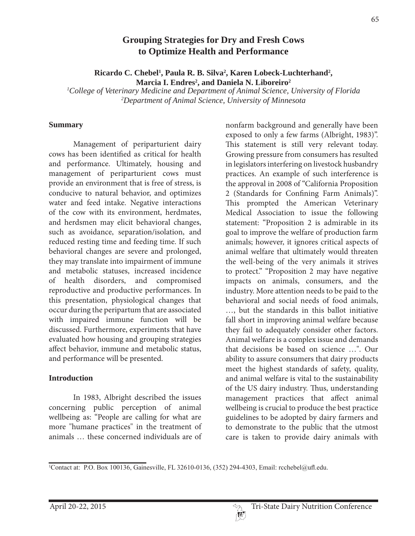# **Grouping Strategies for Dry and Fresh Cows to Optimize Health and Performance**

Ricardo C. Chebel<sup>1</sup>, Paula R. B. Silva<sup>2</sup>, Karen Lobeck-Luchterhand<sup>2</sup>, Marcia I. Endres<sup>2</sup>, and Daniela N. Liboreiro<sup>2</sup>

*1 College of Veterinary Medicine and Department of Animal Science, University of Florida 2 Department of Animal Science, University of Minnesota*

#### **Summary**

 Management of periparturient dairy cows has been identified as critical for health and performance. Ultimately, housing and management of periparturient cows must provide an environment that is free of stress, is conducive to natural behavior, and optimizes water and feed intake. Negative interactions of the cow with its environment, herdmates, and herdsmen may elicit behavioral changes, such as avoidance, separation/isolation, and reduced resting time and feeding time. If such behavioral changes are severe and prolonged, they may translate into impairment of immune and metabolic statuses, increased incidence of health disorders, and compromised reproductive and productive performances. In this presentation, physiological changes that occur during the peripartum that are associated with impaired immune function will be discussed. Furthermore, experiments that have evaluated how housing and grouping strategies affect behavior, immune and metabolic status, and performance will be presented.

### **Introduction**

 In 1983, Albright described the issues concerning public perception of animal wellbeing as: "People are calling for what are more "humane practices" in the treatment of animals … these concerned individuals are of

nonfarm background and generally have been exposed to only a few farms (Albright, 1983)". This statement is still very relevant today. Growing pressure from consumers has resulted in legislators interfering on livestock husbandry practices. An example of such interference is the approval in 2008 of "California Proposition 2 (Standards for Confining Farm Animals)". This prompted the American Veterinary Medical Association to issue the following statement: "Proposition 2 is admirable in its goal to improve the welfare of production farm animals; however, it ignores critical aspects of animal welfare that ultimately would threaten the well-being of the very animals it strives to protect." "Proposition 2 may have negative impacts on animals, consumers, and the industry. More attention needs to be paid to the behavioral and social needs of food animals, …, but the standards in this ballot initiative fall short in improving animal welfare because they fail to adequately consider other factors. Animal welfare is a complex issue and demands that decisions be based on science …". Our ability to assure consumers that dairy products meet the highest standards of safety, quality, and animal welfare is vital to the sustainability of the US dairy industry. Thus, understanding management practices that affect animal wellbeing is crucial to produce the best practice guidelines to be adopted by dairy farmers and to demonstrate to the public that the utmost care is taken to provide dairy animals with

<sup>&</sup>lt;sup>1</sup>Contact at: P.O. Box 100136, Gainesville, FL 32610-0136, (352) 294-4303, Email: rcchebel@ufl.edu.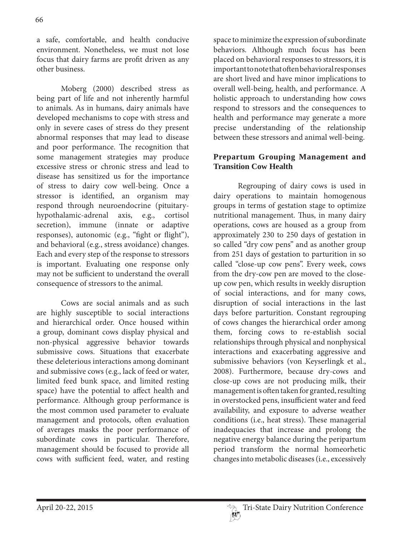a safe, comfortable, and health conducive environment. Nonetheless, we must not lose focus that dairy farms are profit driven as any other business.

 Moberg (2000) described stress as being part of life and not inherently harmful to animals. As in humans, dairy animals have developed mechanisms to cope with stress and only in severe cases of stress do they present abnormal responses that may lead to disease and poor performance. The recognition that some management strategies may produce excessive stress or chronic stress and lead to disease has sensitized us for the importance of stress to dairy cow well-being. Once a stressor is identified, an organism may respond through neuroendocrine (pituitaryhypothalamic-adrenal axis, e.g., cortisol secretion), immune (innate or adaptive responses), autonomic (e.g., "fight or flight"), and behavioral (e.g., stress avoidance) changes. Each and every step of the response to stressors is important. Evaluating one response only may not be sufficient to understand the overall consequence of stressors to the animal.

 Cows are social animals and as such are highly susceptible to social interactions and hierarchical order. Once housed within a group, dominant cows display physical and non-physical aggressive behavior towards submissive cows. Situations that exacerbate these deleterious interactions among dominant and submissive cows (e.g., lack of feed or water, limited feed bunk space, and limited resting space) have the potential to affect health and performance. Although group performance is the most common used parameter to evaluate management and protocols, often evaluation of averages masks the poor performance of subordinate cows in particular. Therefore, management should be focused to provide all cows with sufficient feed, water, and resting

space to minimize the expression of subordinate behaviors. Although much focus has been placed on behavioral responses to stressors, it is important to note that often behavioral responses are short lived and have minor implications to overall well-being, health, and performance. A holistic approach to understanding how cows respond to stressors and the consequences to health and performance may generate a more precise understanding of the relationship between these stressors and animal well-being.

## **Prepartum Grouping Management and Transition Cow Health**

 Regrouping of dairy cows is used in dairy operations to maintain homogenous groups in terms of gestation stage to optimize nutritional management. Thus, in many dairy operations, cows are housed as a group from approximately 230 to 250 days of gestation in so called "dry cow pens" and as another group from 251 days of gestation to parturition in so called "close-up cow pens". Every week, cows from the dry-cow pen are moved to the closeup cow pen, which results in weekly disruption of social interactions, and for many cows, disruption of social interactions in the last days before parturition. Constant regrouping of cows changes the hierarchical order among them, forcing cows to re-establish social relationships through physical and nonphysical interactions and exacerbating aggressive and submissive behaviors (von Keyserlingk et al., 2008). Furthermore, because dry-cows and close-up cows are not producing milk, their management is often taken for granted, resulting in overstocked pens, insufficient water and feed availability, and exposure to adverse weather conditions (i.e., heat stress). These managerial inadequacies that increase and prolong the negative energy balance during the peripartum period transform the normal homeorhetic changes into metabolic diseases (i.e., excessively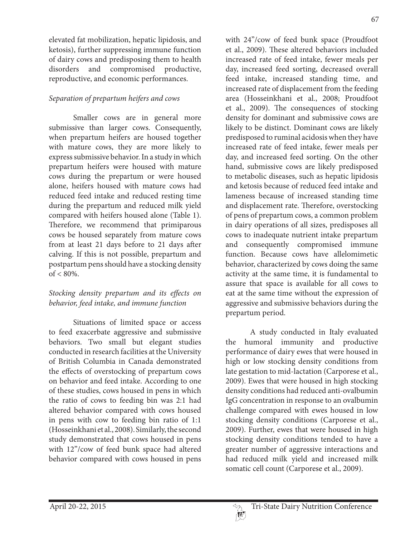67

elevated fat mobilization, hepatic lipidosis, and ketosis), further suppressing immune function of dairy cows and predisposing them to health disorders and compromised productive, reproductive, and economic performances.

# Separation of prepartum heifers and cows

 Smaller cows are in general more submissive than larger cows. Consequently, when prepartum heifers are housed together with mature cows, they are more likely to express submissive behavior. In a study in which prepartum heifers were housed with mature cows during the prepartum or were housed alone, heifers housed with mature cows had reduced feed intake and reduced resting time during the prepartum and reduced milk yield compared with heifers housed alone (Table 1). Therefore, we recommend that primiparous cows be housed separately from mature cows from at least 21 days before to 21 days after calving. If this is not possible, prepartum and postpartum pens should have a stocking density  $of < 80\%$ .

## Stocking density prepartum and its effects on behavior, feed intake, and immune function

 Situations of limited space or access to feed exacerbate aggressive and submissive behaviors. Two small but elegant studies conducted in research facilities at the University of British Columbia in Canada demonstrated the effects of overstocking of prepartum cows on behavior and feed intake. According to one of these studies, cows housed in pens in which the ratio of cows to feeding bin was 2:1 had altered behavior compared with cows housed in pens with cow to feeding bin ratio of 1:1 (Hosseinkhani et al., 2008). Similarly, the second study demonstrated that cows housed in pens with 12"/cow of feed bunk space had altered behavior compared with cows housed in pens

with 24"/cow of feed bunk space (Proudfoot et al., 2009). These altered behaviors included increased rate of feed intake, fewer meals per day, increased feed sorting, decreased overall feed intake, increased standing time, and increased rate of displacement from the feeding area (Hosseinkhani et al., 2008; Proudfoot et al., 2009). The consequences of stocking density for dominant and submissive cows are likely to be distinct. Dominant cows are likely predisposed to ruminal acidosis when they have increased rate of feed intake, fewer meals per day, and increased feed sorting. On the other hand, submissive cows are likely predisposed to metabolic diseases, such as hepatic lipidosis and ketosis because of reduced feed intake and lameness because of increased standing time and displacement rate. Therefore, overstocking of pens of prepartum cows, a common problem in dairy operations of all sizes, predisposes all cows to inadequate nutrient intake prepartum and consequently compromised immune function. Because cows have allelomimetic behavior, characterized by cows doing the same activity at the same time, it is fundamental to assure that space is available for all cows to eat at the same time without the expression of aggressive and submissive behaviors during the prepartum period.

 A study conducted in Italy evaluated the humoral immunity and productive performance of dairy ewes that were housed in high or low stocking density conditions from late gestation to mid-lactation (Carporese et al., 2009). Ewes that were housed in high stocking density conditions had reduced anti-ovalbumin IgG concentration in response to an ovalbumin challenge compared with ewes housed in low stocking density conditions (Carporese et al., 2009). Further, ewes that were housed in high stocking density conditions tended to have a greater number of aggressive interactions and had reduced milk yield and increased milk somatic cell count (Carporese et al., 2009).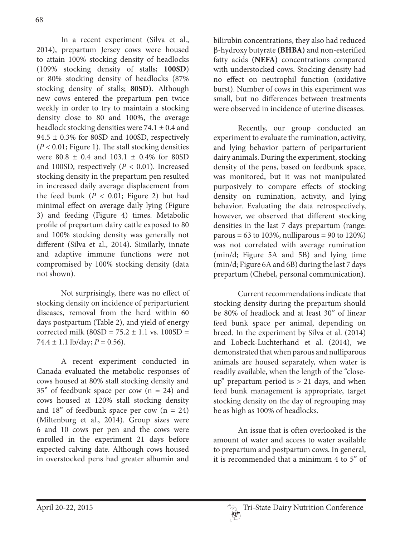In a recent experiment (Silva et al., 2014), prepartum Jersey cows were housed to attain 100% stocking density of headlocks (109% stocking density of stalls; **100SD**) or 80% stocking density of headlocks (87% stocking density of stalls; **80SD**). Although new cows entered the prepartum pen twice weekly in order to try to maintain a stocking density close to 80 and 100%, the average headlock stocking densities were  $74.1 \pm 0.4$  and 94.5  $\pm$  0.3% for 80SD and 100SD, respectively  $(P < 0.01;$  Figure 1). The stall stocking densities were 80.8 ± 0.4 and 103.1 ± 0.4% for 80SD and 100SD, respectively ( $P < 0.01$ ). Increased stocking density in the prepartum pen resulted in increased daily average displacement from the feed bunk ( $P < 0.01$ ; Figure 2) but had minimal effect on average daily lying (Figure 3) and feeding (Figure 4) times. Metabolic profile of prepartum dairy cattle exposed to 80 and 100% stocking density was generally not different (Silva et al., 2014). Similarly, innate and adaptive immune functions were not compromised by 100% stocking density (data not shown).

 Not surprisingly, there was no effect of stocking density on incidence of periparturient diseases, removal from the herd within 60 days postpartum (Table 2), and yield of energy corrected milk ( $80SD = 75.2 \pm 1.1$  vs.  $100SD =$  $74.4 \pm 1.1$  lb/day;  $P = 0.56$ ).

 A recent experiment conducted in Canada evaluated the metabolic responses of cows housed at 80% stall stocking density and 35" of feedbunk space per cow (n = 24) and cows housed at 120% stall stocking density and  $18$ " of feedbunk space per cow (n = 24) (Miltenburg et al., 2014). Group sizes were 6 and 10 cows per pen and the cows were enrolled in the experiment 21 days before expected calving date. Although cows housed in overstocked pens had greater albumin and

bilirubin concentrations, they also had reduced <sup>E</sup>-hydroxy butyrate **(BHBA)** and non-esterified fatty acids **(NEFA)** concentrations compared with understocked cows. Stocking density had no effect on neutrophil function (oxidative burst). Number of cows in this experiment was small, but no differences between treatments were observed in incidence of uterine diseases.

 Recently, our group conducted an experiment to evaluate the rumination, activity, and lying behavior pattern of periparturient dairy animals. During the experiment, stocking density of the pens, based on feedbunk space, was monitored, but it was not manipulated purposively to compare effects of stocking density on rumination, activity, and lying behavior. Evaluating the data retrospectively, however, we observed that different stocking densities in the last 7 days prepartum (range: parous =  $63$  to  $103\%$ , nulliparous =  $90$  to  $120\%$ ) was not correlated with average rumination (min/d; Figure 5A and 5B) and lying time (min/d; Figure 6A and 6B) during the last 7 days prepartum (Chebel, personal communication).

 Current recommendations indicate that stocking density during the prepartum should be 80% of headlock and at least 30" of linear feed bunk space per animal, depending on breed. In the experiment by Silva et al. (2014) and Lobeck-Luchterhand et al. (2014), we demonstrated that when parous and nulliparous animals are housed separately, when water is readily available, when the length of the "closeup" prepartum period is > 21 days, and when feed bunk management is appropriate, target stocking density on the day of regrouping may be as high as 100% of headlocks.

 An issue that is often overlooked is the amount of water and access to water available to prepartum and postpartum cows. In general, it is recommended that a minimum 4 to 5" of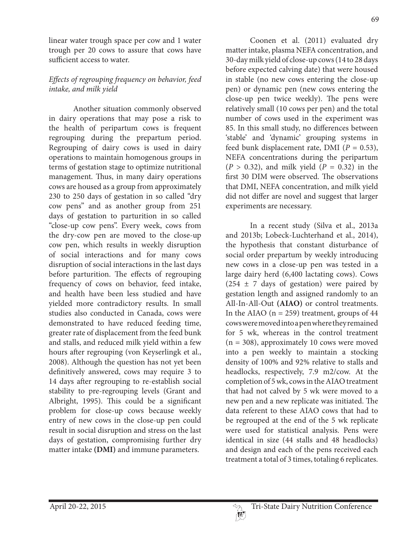linear water trough space per cow and 1 water trough per 20 cows to assure that cows have sufficient access to water.

### Effects of regrouping frequency on behavior, feed intake, and milk yield

 Another situation commonly observed in dairy operations that may pose a risk to the health of peripartum cows is frequent regrouping during the prepartum period. Regrouping of dairy cows is used in dairy operations to maintain homogenous groups in terms of gestation stage to optimize nutritional management. Thus, in many dairy operations cows are housed as a group from approximately 230 to 250 days of gestation in so called "dry cow pens" and as another group from 251 days of gestation to parturition in so called "close-up cow pens". Every week, cows from the dry-cow pen are moved to the close-up cow pen, which results in weekly disruption of social interactions and for many cows disruption of social interactions in the last days before parturition. The effects of regrouping frequency of cows on behavior, feed intake, and health have been less studied and have yielded more contradictory results. In small studies also conducted in Canada, cows were demonstrated to have reduced feeding time, greater rate of displacement from the feed bunk and stalls, and reduced milk yield within a few hours after regrouping (von Keyserlingk et al., 2008). Although the question has not yet been definitively answered, cows may require 3 to 14 days after regrouping to re-establish social stability to pre-regrouping levels (Grant and Albright, 1995). This could be a significant problem for close-up cows because weekly entry of new cows in the close-up pen could result in social disruption and stress on the last days of gestation, compromising further dry matter intake **(DMI)** and immune parameters.

 Coonen et al. (2011) evaluated dry matter intake, plasma NEFA concentration, and 30-day milk yield of close-up cows (14 to 28 days before expected calving date) that were housed in stable (no new cows entering the close-up pen) or dynamic pen (new cows entering the close-up pen twice weekly). The pens were relatively small (10 cows per pen) and the total number of cows used in the experiment was 85. In this small study, no differences between 'stable' and 'dynamic' grouping systems in feed bunk displacement rate, DMI ( $P = 0.53$ ), NEFA concentrations during the peripartum  $(P > 0.32)$ , and milk yield  $(P = 0.32)$  in the first 30 DIM were observed. The observations that DMI, NEFA concentration, and milk yield did not differ are novel and suggest that larger experiments are necessary.

 In a recent study (Silva et al., 2013a and 2013b; Lobeck-Luchterhand et al., 2014), the hypothesis that constant disturbance of social order prepartum by weekly introducing new cows in a close-up pen was tested in a large dairy herd (6,400 lactating cows). Cows  $(254 \pm 7)$  days of gestation) were paired by gestation length and assigned randomly to an All-In-All-Out **(AIAO)** or control treatments. In the AIAO ( $n = 259$ ) treatment, groups of 44 cows were moved into a pen where they remained for 5 wk, whereas in the control treatment  $(n = 308)$ , approximately 10 cows were moved into a pen weekly to maintain a stocking density of 100% and 92% relative to stalls and headlocks, respectively, 7.9 m2/cow. At the completion of 5 wk, cows in the AIAO treatment that had not calved by 5 wk were moved to a new pen and a new replicate was initiated. The data referent to these AIAO cows that had to be regrouped at the end of the 5 wk replicate were used for statistical analysis. Pens were identical in size (44 stalls and 48 headlocks) and design and each of the pens received each treatment a total of 3 times, totaling 6 replicates.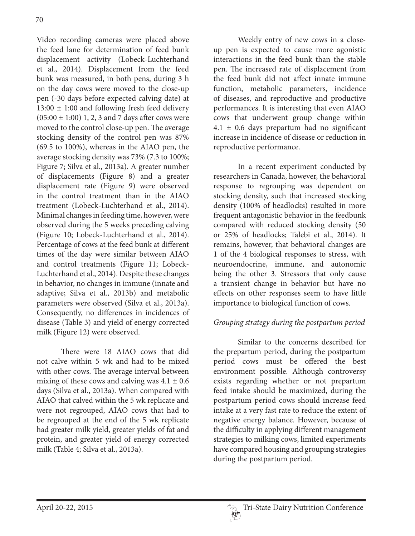Video recording cameras were placed above the feed lane for determination of feed bunk displacement activity (Lobeck-Luchterhand et al., 2014). Displacement from the feed bunk was measured, in both pens, during 3 h on the day cows were moved to the close-up pen (-30 days before expected calving date) at  $13:00 \pm 1:00$  and following fresh feed delivery  $(05:00 \pm 1:00)$  1, 2, 3 and 7 days after cows were moved to the control close-up pen. The average stocking density of the control pen was 87% (69.5 to 100%), whereas in the AIAO pen, the average stocking density was 73% (7.3 to 100%; Figure 7; Silva et al., 2013a). A greater number of displacements (Figure 8) and a greater displacement rate (Figure 9) were observed in the control treatment than in the AIAO treatment (Lobeck-Luchterhand et al., 2014). Minimal changes in feeding time, however, were observed during the 5 weeks preceding calving (Figure 10; Lobeck-Luchterhand et al., 2014). Percentage of cows at the feed bunk at different times of the day were similar between AIAO and control treatments (Figure 11; Lobeck-Luchterhand et al., 2014). Despite these changes in behavior, no changes in immune (innate and adaptive; Silva et al., 2013b) and metabolic parameters were observed (Silva et al., 2013a). Consequently, no differences in incidences of disease (Table 3) and yield of energy corrected milk (Figure 12) were observed.

 There were 18 AIAO cows that did not calve within 5 wk and had to be mixed with other cows. The average interval between mixing of these cows and calving was  $4.1 \pm 0.6$ days (Silva et al., 2013a). When compared with AIAO that calved within the 5 wk replicate and were not regrouped, AIAO cows that had to be regrouped at the end of the 5 wk replicate had greater milk yield, greater yields of fat and protein, and greater yield of energy corrected milk (Table 4; Silva et al., 2013a).

 Weekly entry of new cows in a closeup pen is expected to cause more agonistic interactions in the feed bunk than the stable pen. The increased rate of displacement from the feed bunk did not affect innate immune function, metabolic parameters, incidence of diseases, and reproductive and productive performances. It is interesting that even AIAO cows that underwent group change within  $4.1 \pm 0.6$  days prepartum had no significant increase in incidence of disease or reduction in reproductive performance.

 In a recent experiment conducted by researchers in Canada, however, the behavioral response to regrouping was dependent on stocking density, such that increased stocking density (100% of headlocks) resulted in more frequent antagonistic behavior in the feedbunk compared with reduced stocking density (50 or 25% of headlocks; Talebi et al., 2014). It remains, however, that behavioral changes are 1 of the 4 biological responses to stress, with neuroendocrine, immune, and autonomic being the other 3. Stressors that only cause a transient change in behavior but have no effects on other responses seem to have little importance to biological function of cows.

# Grouping strategy during the postpartum period

 Similar to the concerns described for the prepartum period, during the postpartum period cows must be offered the best environment possible. Although controversy exists regarding whether or not prepartum feed intake should be maximized, during the postpartum period cows should increase feed intake at a very fast rate to reduce the extent of negative energy balance. However, because of the difficulty in applying different management strategies to milking cows, limited experiments have compared housing and grouping strategies during the postpartum period.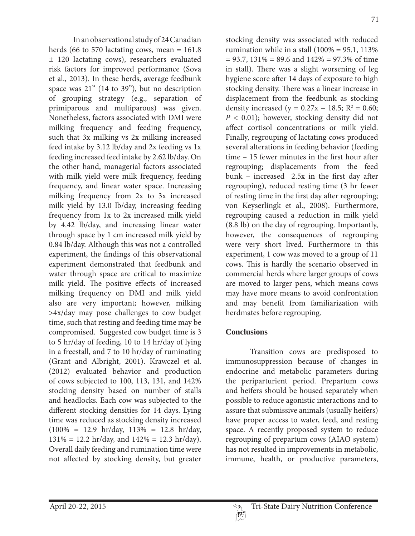In an observational study of 24 Canadian herds (66 to 570 lactating cows, mean  $= 161.8$ ± 120 lactating cows), researchers evaluated risk factors for improved performance (Sova et al., 2013). In these herds, average feedbunk space was 21" (14 to 39"), but no description of grouping strategy (e.g., separation of primiparous and multiparous) was given. Nonetheless, factors associated with DMI were milking frequency and feeding frequency, such that 3x milking vs 2x milking increased feed intake by 3.12 lb/day and 2x feeding vs 1x feeding increased feed intake by 2.62 lb/day. On the other hand, managerial factors associated with milk yield were milk frequency, feeding frequency, and linear water space. Increasing milking frequency from 2x to 3x increased milk yield by 13.0 lb/day, increasing feeding frequency from 1x to 2x increased milk yield by 4.42 lb/day, and increasing linear water through space by 1 cm increased milk yield by 0.84 lb/day. Although this was not a controlled experiment, the findings of this observational experiment demonstrated that feedbunk and water through space are critical to maximize milk yield. The positive effects of increased milking frequency on DMI and milk yield also are very important; however, milking >4x/day may pose challenges to cow budget time, such that resting and feeding time may be compromised. Suggested cow budget time is 3 to 5 hr/day of feeding, 10 to 14 hr/day of lying in a freestall, and 7 to 10 hr/day of ruminating (Grant and Albright, 2001). Krawczel et al. (2012) evaluated behavior and production of cows subjected to 100, 113, 131, and 142% stocking density based on number of stalls and headlocks. Each cow was subjected to the different stocking densities for 14 days. Lying time was reduced as stocking density increased  $(100\% = 12.9 \text{ hr/day}, 113\% = 12.8 \text{ hr/day},$  $131\% = 12.2$  hr/day, and  $142\% = 12.3$  hr/day). Overall daily feeding and rumination time were not affected by stocking density, but greater

stocking density was associated with reduced rumination while in a stall  $(100\% = 95.1, 113\%)$  $= 93.7, 131\% = 89.6$  and  $142\% = 97.3\%$  of time in stall). There was a slight worsening of leg hygiene score after 14 days of exposure to high stocking density. There was a linear increase in displacement from the feedbunk as stocking density increased ( $y = 0.27x - 18.5$ ;  $R^2 = 0.60$ ;  $P < 0.01$ ); however, stocking density did not affect cortisol concentrations or milk yield. Finally, regrouping of lactating cows produced several alterations in feeding behavior (feeding time – 15 fewer minutes in the first hour after regrouping; displacements from the feed bunk – increased 2.5x in the first day after regrouping), reduced resting time (3 hr fewer of resting time in the first day after regrouping; von Keyserlingk et al., 2008). Furthermore, regrouping caused a reduction in milk yield (8.8 lb) on the day of regrouping. Importantly, however, the consequences of regrouping were very short lived. Furthermore in this experiment, 1 cow was moved to a group of 11 cows. This is hardly the scenario observed in commercial herds where larger groups of cows are moved to larger pens, which means cows may have more means to avoid confrontation and may benefit from familiarization with herdmates before regrouping.

## **Conclusions**

 Transition cows are predisposed to immunosuppression because of changes in endocrine and metabolic parameters during the periparturient period. Prepartum cows and heifers should be housed separately when possible to reduce agonistic interactions and to assure that submissive animals (usually heifers) have proper access to water, feed, and resting space. A recently proposed system to reduce regrouping of prepartum cows (AIAO system) has not resulted in improvements in metabolic, immune, health, or productive parameters,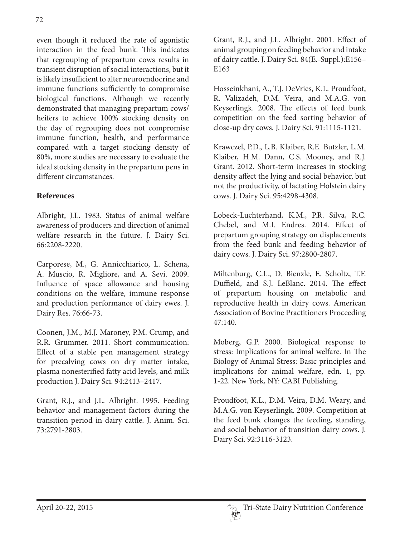even though it reduced the rate of agonistic interaction in the feed bunk. This indicates that regrouping of prepartum cows results in transient disruption of social interactions, but it is likely insufficient to alter neuroendocrine and immune functions sufficiently to compromise biological functions. Although we recently demonstrated that managing prepartum cows/ heifers to achieve 100% stocking density on the day of regrouping does not compromise immune function, health, and performance compared with a target stocking density of 80%, more studies are necessary to evaluate the ideal stocking density in the prepartum pens in different circumstances.

### **References**

Albright, J.L. 1983. Status of animal welfare awareness of producers and direction of animal welfare research in the future. J. Dairy Sci. 66:2208-2220.

Carporese, M., G. Annicchiarico, L. Schena, A. Muscio, R. Migliore, and A. Sevi. 2009. Influence of space allowance and housing conditions on the welfare, immune response and production performance of dairy ewes. J. Dairy Res. 76:66-73.

Coonen, J.M., M.J. Maroney, P.M. Crump, and R.R. Grummer. 2011. Short communication: Effect of a stable pen management strategy for precalving cows on dry matter intake, plasma nonesterified fatty acid levels, and milk production J. Dairy Sci. 94:2413–2417.

Grant, R.J., and J.L. Albright. 1995. Feeding behavior and management factors during the transition period in dairy cattle. J. Anim. Sci. 73:2791-2803.

Grant, R.J., and J.L. Albright. 2001. Effect of animal grouping on feeding behavior and intake of dairy cattle. J. Dairy Sci. 84(E.-Suppl.):E156– E163

Hosseinkhani, A., T.J. DeVries, K.L. Proudfoot, R. Valizadeh, D.M. Veira, and M.A.G. von Keyserlingk. 2008. The effects of feed bunk competition on the feed sorting behavior of close-up dry cows. J. Dairy Sci. 91:1115-1121.

Krawczel, P.D., L.B. Klaiber, R.E. Butzler, L.M. Klaiber, H.M. Dann, C.S. Mooney, and R.J. Grant. 2012. Short-term increases in stocking density affect the lying and social behavior, but not the productivity, of lactating Holstein dairy cows. J. Dairy Sci. 95:4298-4308.

Lobeck-Luchterhand, K.M., P.R. Silva, R.C. Chebel, and M.I. Endres. 2014. Effect of prepartum grouping strategy on displacements from the feed bunk and feeding behavior of dairy cows. J. Dairy Sci. 97:2800-2807.

Miltenburg, C.L., D. Bienzle, E. Scholtz, T.F. Duffield, and S.J. LeBlanc. 2014. The effect of prepartum housing on metabolic and reproductive health in dairy cows. American Association of Bovine Practitioners Proceeding 47:140.

Moberg, G.P. 2000. Biological response to stress: Implications for animal welfare. In The Biology of Animal Stress: Basic principles and implications for animal welfare, edn. 1, pp. 1-22. New York, NY: CABI Publishing.

Proudfoot, K.L., D.M. Veira, D.M. Weary, and M.A.G. von Keyserlingk. 2009. Competition at the feed bunk changes the feeding, standing, and social behavior of transition dairy cows. J. Dairy Sci. 92:3116-3123.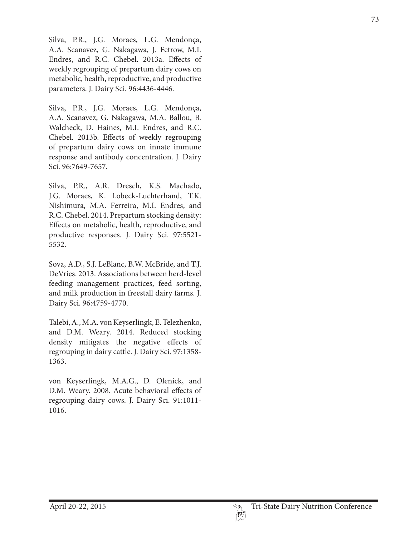Silva, P.R., J.G. Moraes, L.G. Mendonça, A.A. Scanavez, G. Nakagawa, J. Fetrow, M.I. Endres, and R.C. Chebel. 2013a. Effects of weekly regrouping of prepartum dairy cows on metabolic, health, reproductive, and productive parameters. J. Dairy Sci. 96:4436-4446.

Silva, P.R., J.G. Moraes, L.G. Mendonça, A.A. Scanavez, G. Nakagawa, M.A. Ballou, B. Walcheck, D. Haines, M.I. Endres, and R.C. Chebel. 2013b. Effects of weekly regrouping of prepartum dairy cows on innate immune response and antibody concentration. J. Dairy Sci. 96:7649-7657.

Silva, P.R., A.R. Dresch, K.S. Machado, J.G. Moraes, K. Lobeck-Luchterhand, T.K. Nishimura, M.A. Ferreira, M.I. Endres, and R.C. Chebel. 2014. Prepartum stocking density: Effects on metabolic, health, reproductive, and productive responses. J. Dairy Sci. 97:5521- 5532.

Sova, A.D., S.J. LeBlanc, B.W. McBride, and T.J. DeVries. 2013. Associations between herd-level feeding management practices, feed sorting, and milk production in freestall dairy farms. J. Dairy Sci. 96:4759-4770.

Talebi, A., M.A. von Keyserlingk, E. Telezhenko, and D.M. Weary. 2014. Reduced stocking density mitigates the negative effects of regrouping in dairy cattle. J. Dairy Sci. 97:1358- 1363.

von Keyserlingk, M.A.G., D. Olenick, and D.M. Weary. 2008. Acute behavioral effects of regrouping dairy cows. J. Dairy Sci. 91:1011- 1016.

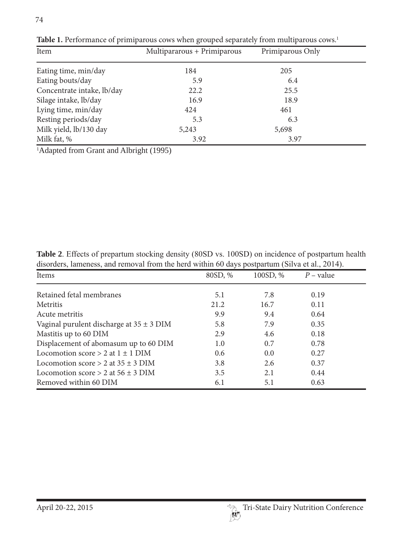| Item                       | Multipararous + Primiparous | Primiparous Only |  |
|----------------------------|-----------------------------|------------------|--|
| Eating time, min/day       | 184                         | 205              |  |
| Eating bouts/day           | 5.9                         | 6.4              |  |
| Concentrate intake, lb/day | 22.2                        | 25.5             |  |
| Silage intake, lb/day      | 16.9                        | 18.9             |  |
| Lying time, min/day        | 424                         | 461              |  |
| Resting periods/day        | 5.3                         | 6.3              |  |
| Milk yield, lb/130 day     | 5,243                       | 5,698            |  |
| Milk fat, %                | 3.92                        | 3.97             |  |

Table 1. Performance of primiparous cows when grouped separately from multiparous cows.<sup>1</sup>

<sup>1</sup>Adapted from Grant and Albright (1995)

| <b>Table 2.</b> Effects of prepartum stocking density (80SD vs. 100SD) on incidence of postpartum health |  |
|----------------------------------------------------------------------------------------------------------|--|
| disorders, lameness, and removal from the herd within 60 days postpartum (Silva et al., 2014).           |  |

| Items                                        | 80SD, %       | 100SD, % | $P$ – value |  |
|----------------------------------------------|---------------|----------|-------------|--|
| Retained fetal membranes                     | 5.1           | 7.8      | 0.19        |  |
| Metritis                                     | 21.2          | 16.7     | 0.11        |  |
| Acute metritis                               | 9.9           | 9.4      | 0.64        |  |
| Vaginal purulent discharge at $35 \pm 3$ DIM | 5.8           | 7.9      | 0.35        |  |
| Mastitis up to 60 DIM                        | 2.9           | 4.6      | 0.18        |  |
| Displacement of abomasum up to 60 DIM        | 1.0           | 0.7      | 0.78        |  |
| Locomotion score $> 2$ at $1 \pm 1$ DIM      | $0.6^{\circ}$ | 0.0      | 0.27        |  |
| Locomotion score $> 2$ at $35 + 3$ DIM       | 3.8           | 2.6      | 0.37        |  |
| Locomotion score $> 2$ at 56 $\pm$ 3 DIM     | 3.5           | 2.1      | 0.44        |  |
| Removed within 60 DIM                        | 6.1           | 5.1      | 0.63        |  |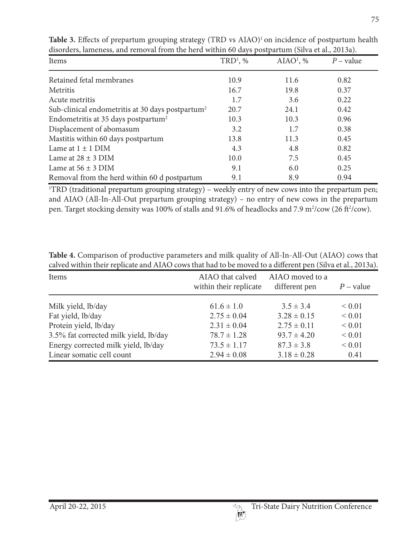| Items                                                        | $TRD1$ , % | AIAO <sup>1</sup> , % | $P$ – value |
|--------------------------------------------------------------|------------|-----------------------|-------------|
| Retained fetal membranes                                     | 10.9       | 11.6                  | 0.82        |
| Metritis                                                     | 16.7       | 19.8                  | 0.37        |
| Acute metritis                                               | 1.7        | 3.6                   | 0.22        |
| Sub-clinical endometritis at 30 days postpartum <sup>2</sup> | 20.7       | 24.1                  | 0.42        |
| Endometritis at 35 days postpartum <sup>2</sup>              | 10.3       | 10.3                  | 0.96        |
| Displacement of abomasum                                     | 3.2        | 1.7                   | 0.38        |
| Mastitis within 60 days postpartum                           | 13.8       | 11.3                  | 0.45        |
| Lame at $1 \pm 1$ DIM                                        | 4.3        | 4.8                   | 0.82        |
| Lame at $28 \pm 3$ DIM                                       | 10.0       | 7.5                   | 0.45        |
| Lame at $56 \pm 3$ DIM                                       | 9.1        | 6.0                   | 0.25        |
| Removal from the herd within 60 d postpartum                 | 9.1        | 8.9                   | 0.94        |

Table 3. Effects of prepartum grouping strategy (TRD vs AIAO)<sup>1</sup> on incidence of postpartum health disorders, lameness, and removal from the herd within 60 days postpartum (Silva et al., 2013a).

1 TRD (traditional prepartum grouping strategy) – weekly entry of new cows into the prepartum pen; and AIAO (All-In-All-Out prepartum grouping strategy) – no entry of new cows in the prepartum pen. Target stocking density was 100% of stalls and 91.6% of headlocks and 7.9 m<sup>2</sup>/cow (26 ft<sup>2</sup>/cow).

**Table 4.** Comparison of productive parameters and milk quality of All-In-All-Out (AIAO) cows that calved within their replicate and AIAO cows that had to be moved to a different pen (Silva et al., 2013a).

| Items                                 | AIAO that calved<br>within their replicate | AIAO moved to a<br>different pen | $P$ – value |
|---------------------------------------|--------------------------------------------|----------------------------------|-------------|
| Milk yield, lb/day                    | $61.6 \pm 1.0$                             | $3.5 \pm 3.4$                    | ${}_{0.01}$ |
| Fat yield, lb/day                     | $2.75 \pm 0.04$                            | $3.28 \pm 0.15$                  | ${}< 0.01$  |
| Protein yield, lb/day                 | $2.31 \pm 0.04$                            | $2.75 \pm 0.11$                  | ${}< 0.01$  |
| 3.5% fat corrected milk yield, lb/day | $78.7 \pm 1.28$                            | $93.7 \pm 4.20$                  | ${}< 0.01$  |
| Energy corrected milk yield, lb/day   | $73.5 \pm 1.17$                            | $87.3 \pm 3.8$                   | ${}< 0.01$  |
| Linear somatic cell count             | $2.94 \pm 0.08$                            | $3.18 \pm 0.28$                  | 0.41        |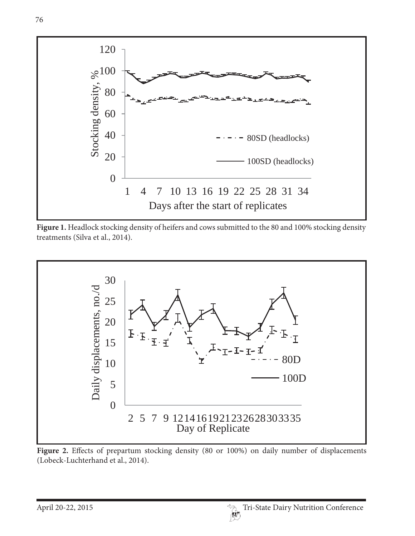

Figure 1. Headlock stocking density of heifers and cows submitted to the 80 and 100% stocking density treatments (Silva et al., 2014).



Figure 2. Effects of prepartum stocking density (80 or 100%) on daily number of displacements (Lobeck-Luchterhand et al., 2014).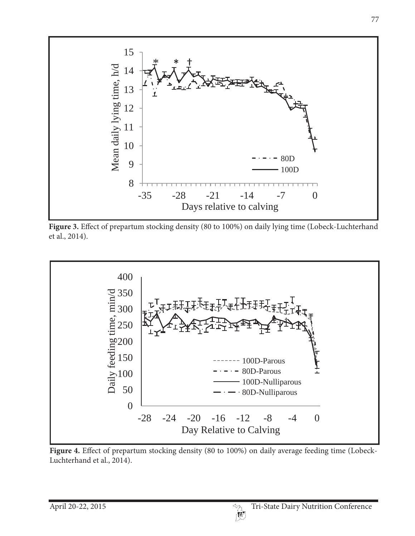

**Figure 3.** Effect of prepartum stocking density (80 to 100%) on daily lying time (Lobeck-Luchterhand et al., 2014).



**Figure 4.** Effect of prepartum stocking density (80 to 100%) on daily average feeding time (Lobeck-Luchterhand et al., 2014).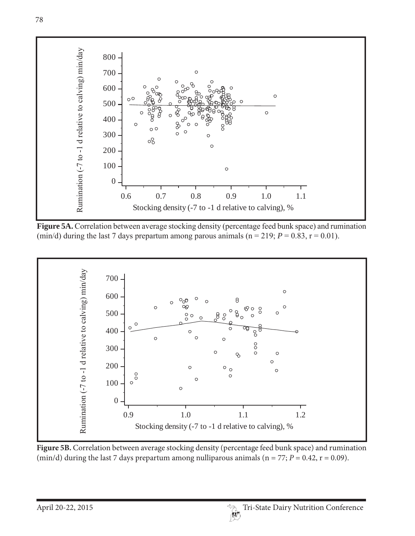

Figure 5A. Correlation between average stocking density (percentage feed bunk space) and rumination (min/d) during the last 7 days prepartum among parous animals ( $n = 219$ ;  $P = 0.83$ ,  $r = 0.01$ ).



**Figure 5B.** Correlation between average stocking density (percentage feed bunk space) and rumination (min/d) during the last 7 days prepartum among nulliparous animals ( $n = 77$ ;  $P = 0.42$ ,  $r = 0.09$ ).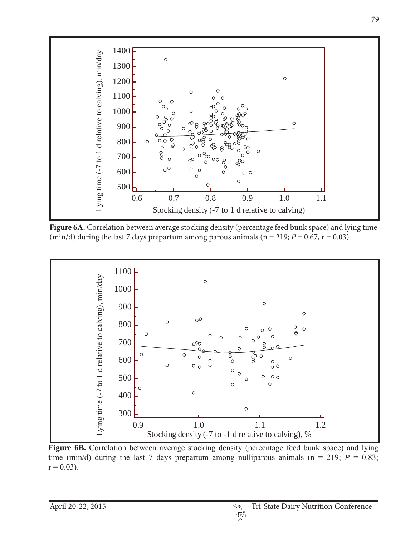

**Figure 6A.** Correlation between average stocking density (percentage feed bunk space) and lying time (min/d) during the last 7 days prepartum among parous animals ( $n = 219$ ;  $P = 0.67$ ,  $r = 0.03$ ).



**Figure 6B.** Correlation between average stocking density (percentage feed bunk space) and lying time (min/d) during the last 7 days prepartum among nulliparous animals ( $n = 219$ ;  $P = 0.83$ ;  $r = 0.03$ ).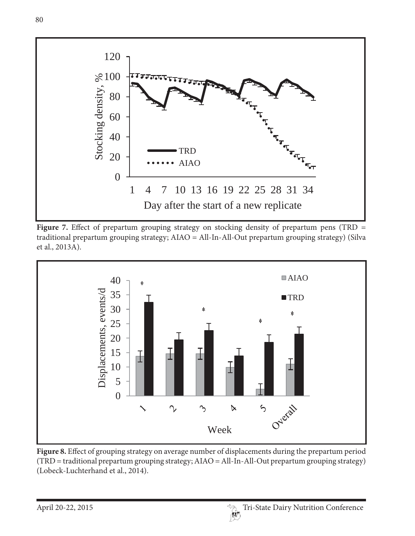

Figure 7. Effect of prepartum grouping strategy on stocking density of prepartum pens (TRD = traditional prepartum grouping strategy; AIAO = All-In-All-Out prepartum grouping strategy) (Silva et al., 2013A).



**Figure 8.** Effect of grouping strategy on average number of displacements during the prepartum period (TRD = traditional prepartum grouping strategy; AIAO = All-In-All-Out prepartum grouping strategy) (Lobeck-Luchterhand et al., 2014).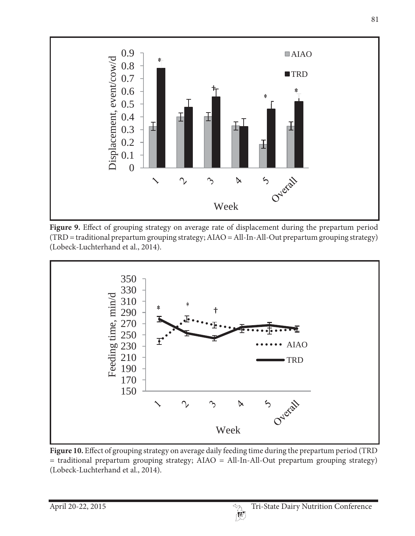

**Figure 9.** Effect of grouping strategy on average rate of displacement during the prepartum period (TRD = traditional prepartum grouping strategy; AIAO = All-In-All-Out prepartum grouping strategy) (Lobeck-Luchterhand et al., 2014).



**Figure 10.** Effect of grouping strategy on average daily feeding time during the prepartum period (TRD = traditional prepartum grouping strategy; AIAO = All-In-All-Out prepartum grouping strategy) (Lobeck-Luchterhand et al., 2014).